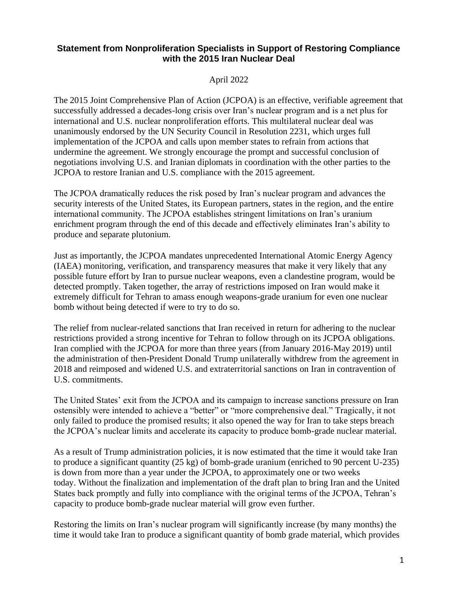## **Statement from Nonproliferation Specialists in Support of Restoring Compliance with the 2015 Iran Nuclear Deal**

## April 2022

The 2015 Joint Comprehensive Plan of Action (JCPOA) is an effective, verifiable agreement that successfully addressed a decades-long crisis over Iran's nuclear program and is a net plus for international and U.S. nuclear nonproliferation efforts. This multilateral nuclear deal was unanimously endorsed by the UN Security Council in Resolution 2231, which urges full implementation of the JCPOA and calls upon member states to refrain from actions that undermine the agreement. We strongly encourage the prompt and successful conclusion of negotiations involving U.S. and Iranian diplomats in coordination with the other parties to the JCPOA to restore Iranian and U.S. compliance with the 2015 agreement.

The JCPOA dramatically reduces the risk posed by Iran's nuclear program and advances the security interests of the United States, its European partners, states in the region, and the entire international community. The JCPOA establishes stringent limitations on Iran's uranium enrichment program through the end of this decade and effectively eliminates Iran's ability to produce and separate plutonium.

Just as importantly, the JCPOA mandates unprecedented International Atomic Energy Agency (IAEA) monitoring, verification, and transparency measures that make it very likely that any possible future effort by Iran to pursue nuclear weapons, even a clandestine program, would be detected promptly. Taken together, the array of restrictions imposed on Iran would make it extremely difficult for Tehran to amass enough weapons-grade uranium for even one nuclear bomb without being detected if were to try to do so.

The relief from nuclear-related sanctions that Iran received in return for adhering to the nuclear restrictions provided a strong incentive for Tehran to follow through on its JCPOA obligations. Iran complied with the JCPOA for more than three years (from January 2016-May 2019) until the administration of then-President Donald Trump unilaterally withdrew from the agreement in 2018 and reimposed and widened U.S. and extraterritorial sanctions on Iran in contravention of U.S. commitments.

The United States' exit from the JCPOA and its campaign to increase sanctions pressure on Iran ostensibly were intended to achieve a "better" or "more comprehensive deal." Tragically, it not only failed to produce the promised results; it also opened the way for Iran to take steps breach the JCPOA's nuclear limits and accelerate its capacity to produce bomb-grade nuclear material.

As a result of Trump administration policies, it is now estimated that the time it would take Iran to produce a significant quantity (25 kg) of bomb-grade uranium (enriched to 90 percent U-235) is down from more than a year under the JCPOA, to approximately one or two weeks today. Without the finalization and implementation of the draft plan to bring Iran and the United States back promptly and fully into compliance with the original terms of the JCPOA, Tehran's capacity to produce bomb-grade nuclear material will grow even further.

Restoring the limits on Iran's nuclear program will significantly increase (by many months) the time it would take Iran to produce a significant quantity of bomb grade material, which provides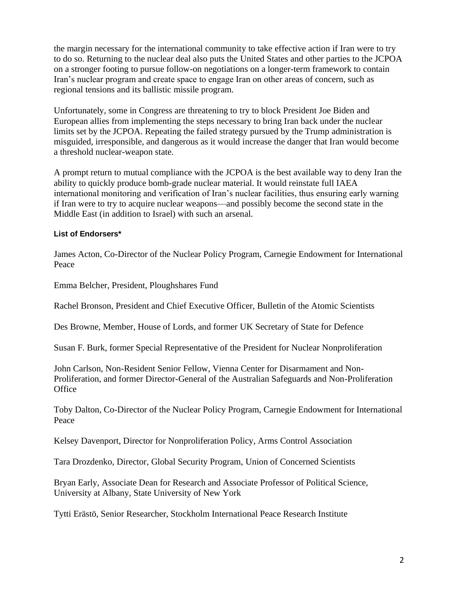the margin necessary for the international community to take effective action if Iran were to try to do so. Returning to the nuclear deal also puts the United States and other parties to the JCPOA on a stronger footing to pursue follow-on negotiations on a longer-term framework to contain Iran's nuclear program and create space to engage Iran on other areas of concern, such as regional tensions and its ballistic missile program.

Unfortunately, some in Congress are threatening to try to block President Joe Biden and European allies from implementing the steps necessary to bring Iran back under the nuclear limits set by the JCPOA. Repeating the failed strategy pursued by the Trump administration is misguided, irresponsible, and dangerous as it would increase the danger that Iran would become a threshold nuclear-weapon state.

A prompt return to mutual compliance with the JCPOA is the best available way to deny Iran the ability to quickly produce bomb-grade nuclear material. It would reinstate full IAEA international monitoring and verification of Iran's nuclear facilities, thus ensuring early warning if Iran were to try to acquire nuclear weapons—and possibly become the second state in the Middle East (in addition to Israel) with such an arsenal.

## **List of Endorsers\***

James Acton, Co-Director of the Nuclear Policy Program, Carnegie Endowment for International Peace

Emma Belcher, President, Ploughshares Fund

Rachel Bronson, President and Chief Executive Officer, Bulletin of the Atomic Scientists

Des Browne, Member, House of Lords, and former UK Secretary of State for Defence

Susan F. Burk, former Special Representative of the President for Nuclear Nonproliferation

John Carlson, Non-Resident Senior Fellow, Vienna Center for Disarmament and Non-Proliferation, and former Director-General of the Australian Safeguards and Non-Proliferation **Office** 

Toby Dalton, Co-Director of the Nuclear Policy Program, Carnegie Endowment for International Peace

Kelsey Davenport, Director for Nonproliferation Policy, Arms Control Association

Tara Drozdenko, Director, Global Security Program, Union of Concerned Scientists

Bryan Early, Associate Dean for Research and Associate Professor of Political Science, University at Albany, State University of New York

Tytti Erästö, Senior Researcher, Stockholm International Peace Research Institute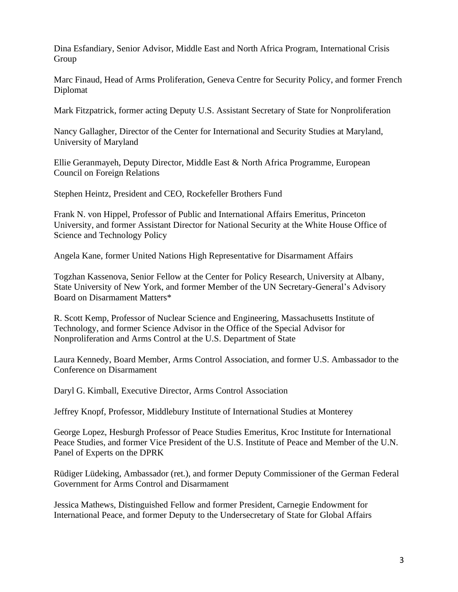Dina Esfandiary, Senior Advisor, Middle East and North Africa Program, International Crisis **Group** 

Marc Finaud, Head of Arms Proliferation, Geneva Centre for Security Policy, and former French Diplomat

Mark Fitzpatrick, former acting Deputy U.S. Assistant Secretary of State for Nonproliferation

Nancy Gallagher, Director of the Center for International and Security Studies at Maryland, University of Maryland

Ellie Geranmayeh, Deputy Director, Middle East & North Africa Programme, European Council on Foreign Relations

Stephen Heintz, President and CEO, Rockefeller Brothers Fund

Frank N. von Hippel, Professor of Public and International Affairs Emeritus, Princeton University, and former Assistant Director for National Security at the White House Office of Science and Technology Policy

Angela Kane, former United Nations High Representative for Disarmament Affairs

Togzhan Kassenova, Senior Fellow at the Center for Policy Research, University at Albany, State University of New York, and former Member of the UN Secretary-General's Advisory Board on Disarmament Matters\*

R. Scott Kemp, Professor of Nuclear Science and Engineering, Massachusetts Institute of Technology, and former Science Advisor in the Office of the Special Advisor for Nonproliferation and Arms Control at the U.S. Department of State

Laura Kennedy, Board Member, Arms Control Association, and former U.S. Ambassador to the Conference on Disarmament

Daryl G. Kimball, Executive Director, Arms Control Association

Jeffrey Knopf, Professor, Middlebury Institute of International Studies at Monterey

George Lopez, Hesburgh Professor of Peace Studies Emeritus, Kroc Institute for International Peace Studies, and former Vice President of the U.S. Institute of Peace and Member of the U.N. Panel of Experts on the DPRK

Rüdiger Lüdeking, Ambassador (ret.), and former Deputy Commissioner of the German Federal Government for Arms Control and Disarmament

Jessica Mathews, Distinguished Fellow and former President, Carnegie Endowment for International Peace, and former Deputy to the Undersecretary of State for Global Affairs